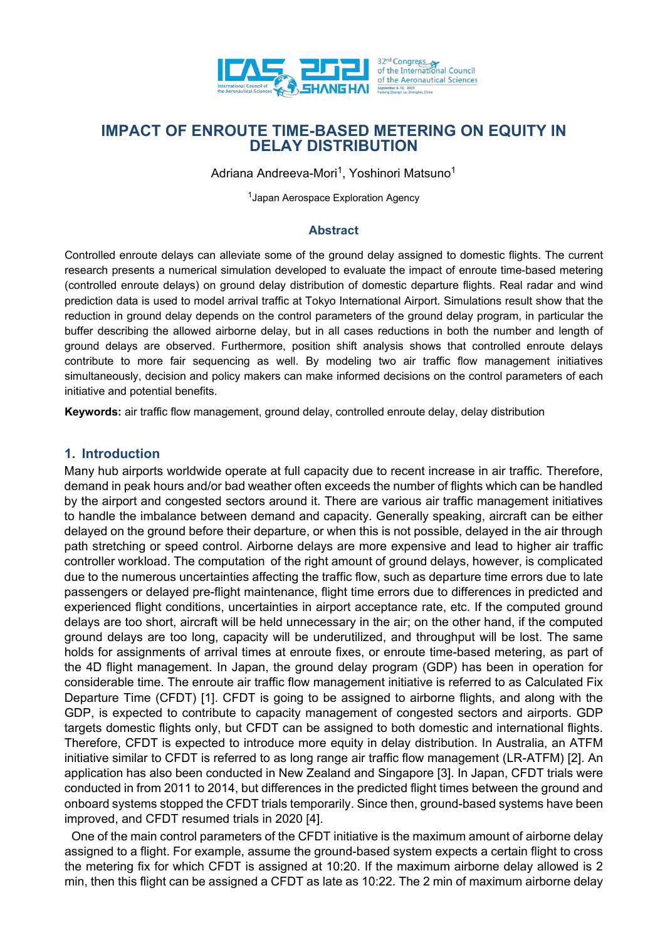

Adriana Andreeva-Mori<sup>1</sup>, Yoshinori Matsuno<sup>1</sup>

<sup>1</sup> Japan Aerospace Exploration Agency

### **Abstract**

Controlled enroute delays can alleviate some of the ground delay assigned to domestic flights. The current research presents a numerical simulation developed to evaluate the impact of enroute time-based metering (controlled enroute delays) on ground delay distribution of domestic departure flights. Real radar and wind prediction data is used to model arrival traffic at Tokyo International Airport. Simulations result show that the reduction in ground delay depends on the control parameters of the ground delay program, in particular the buffer describing the allowed airborne delay, but in all cases reductions in both the number and length of ground delays are observed. Furthermore, position shift analysis shows that controlled enroute delays contribute to more fair sequencing as well. By modeling two air traffic flow management initiatives simultaneously, decision and policy makers can make informed decisions on the control parameters of each initiative and potential benefits.

**Keywords:** air traffic flow management, ground delay, controlled enroute delay, delay distribution

## **1. Introduction**

Many hub airports worldwide operate at full capacity due to recent increase in air traffic. Therefore, demand in peak hours and/or bad weather often exceeds the number of flights which can be handled by the airport and congested sectors around it. There are various air traffic management initiatives to handle the imbalance between demand and capacity. Generally speaking, aircraft can be either delayed on the ground before their departure, or when this is not possible, delayed in the air through path stretching or speed control. Airborne delays are more expensive and lead to higher air traffic controller workload. The computation of the right amount of ground delays, however, is complicated due to the numerous uncertainties affecting the traffic flow, such as departure time errors due to late passengers or delayed pre-flight maintenance, flight time errors due to differences in predicted and experienced flight conditions, uncertainties in airport acceptance rate, etc. If the computed ground delays are too short, aircraft will be held unnecessary in the air; on the other hand, if the computed ground delays are too long, capacity will be underutilized, and throughput will be lost. The same holds for assignments of arrival times at enroute fixes, or enroute time-based metering, as part of the 4D flight management. In Japan, the ground delay program (GDP) has been in operation for considerable time. The enroute air traffic flow management initiative is referred to as Calculated Fix Departure Time (CFDT) [1]. CFDT is going to be assigned to airborne flights, and along with the GDP, is expected to contribute to capacity management of congested sectors and airports. GDP targets domestic flights only, but CFDT can be assigned to both domestic and international flights. Therefore, CFDT is expected to introduce more equity in delay distribution. In Australia, an ATFM initiative similar to CFDT is referred to as long range air traffic flow management (LR-ATFM) [2]. An application has also been conducted in New Zealand and Singapore [3]. In Japan, CFDT trials were conducted in from 2011 to 2014, but differences in the predicted flight times between the ground and onboard systems stopped the CFDT trials temporarily. Since then, ground-based systems have been improved, and CFDT resumed trials in 2020 [4].

 One of the main control parameters of the CFDT initiative is the maximum amount of airborne delay assigned to a flight. For example, assume the ground-based system expects a certain flight to cross the metering fix for which CFDT is assigned at 10:20. If the maximum airborne delay allowed is 2 min, then this flight can be assigned a CFDT as late as 10:22. The 2 min of maximum airborne delay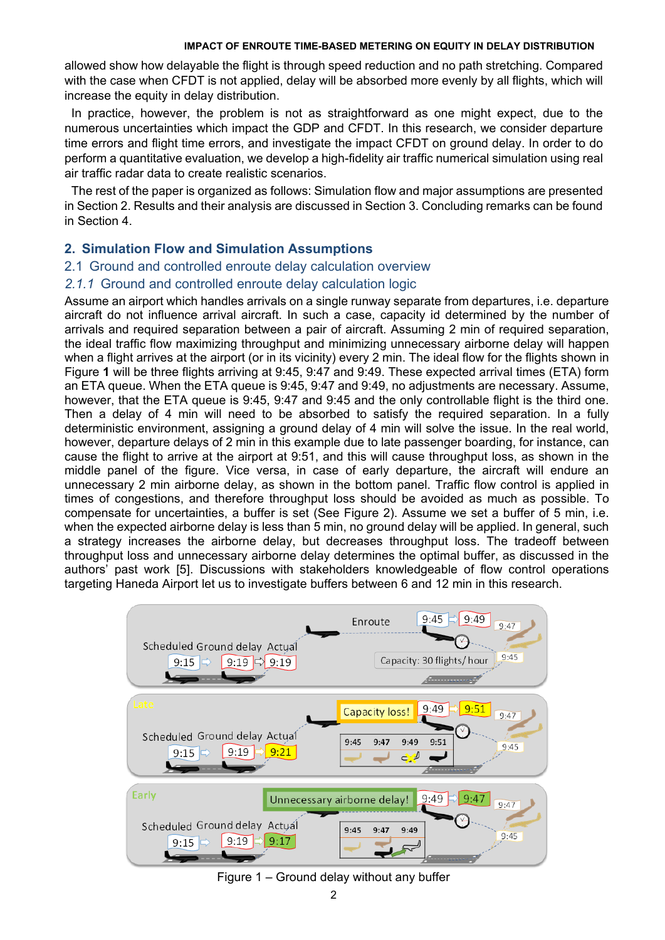allowed show how delayable the flight is through speed reduction and no path stretching. Compared with the case when CFDT is not applied, delay will be absorbed more evenly by all flights, which will increase the equity in delay distribution.

 In practice, however, the problem is not as straightforward as one might expect, due to the numerous uncertainties which impact the GDP and CFDT. In this research, we consider departure time errors and flight time errors, and investigate the impact CFDT on ground delay. In order to do perform a quantitative evaluation, we develop a high-fidelity air traffic numerical simulation using real air traffic radar data to create realistic scenarios.

The rest of the paper is organized as follows: Simulation flow and major assumptions are presented in Section 2. Results and their analysis are discussed in Section 3. Concluding remarks can be found in Section 4.

## **2. Simulation Flow and Simulation Assumptions**

### 2.1 Ground and controlled enroute delay calculation overview

## *2.1.1* Ground and controlled enroute delay calculation logic

Assume an airport which handles arrivals on a single runway separate from departures, i.e. departure aircraft do not influence arrival aircraft. In such a case, capacity id determined by the number of arrivals and required separation between a pair of aircraft. Assuming 2 min of required separation, the ideal traffic flow maximizing throughput and minimizing unnecessary airborne delay will happen when a flight arrives at the airport (or in its vicinity) every 2 min. The ideal flow for the flights shown in [Figure](#page-1-0) **1** will be three flights arriving at 9:45, 9:47 and 9:49. These expected arrival times (ETA) form an ETA queue. When the ETA queue is 9:45, 9:47 and 9:49, no adjustments are necessary. Assume, however, that the ETA queue is 9:45, 9:47 and 9:45 and the only controllable flight is the third one. Then a delay of 4 min will need to be absorbed to satisfy the required separation. In a fully deterministic environment, assigning a ground delay of 4 min will solve the issue. In the real world, however, departure delays of 2 min in this example due to late passenger boarding, for instance, can cause the flight to arrive at the airport at 9:51, and this will cause throughput loss, as shown in the middle panel of the figure. Vice versa, in case of early departure, the aircraft will endure an unnecessary 2 min airborne delay, as shown in the bottom panel. Traffic flow control is applied in times of congestions, and therefore throughput loss should be avoided as much as possible. To compensate for uncertainties, a buffer is set (See [Figure 2\)](#page-2-0). Assume we set a buffer of 5 min, i.e. when the expected airborne delay is less than 5 min, no ground delay will be applied. In general, such a strategy increases the airborne delay, but decreases throughput loss. The tradeoff between throughput loss and unnecessary airborne delay determines the optimal buffer, as discussed in the authors' past work [5]. Discussions with stakeholders knowledgeable of flow control operations targeting Haneda Airport let us to investigate buffers between 6 and 12 min in this research.



## <span id="page-1-0"></span>Figure 1 – Ground delay without any buffer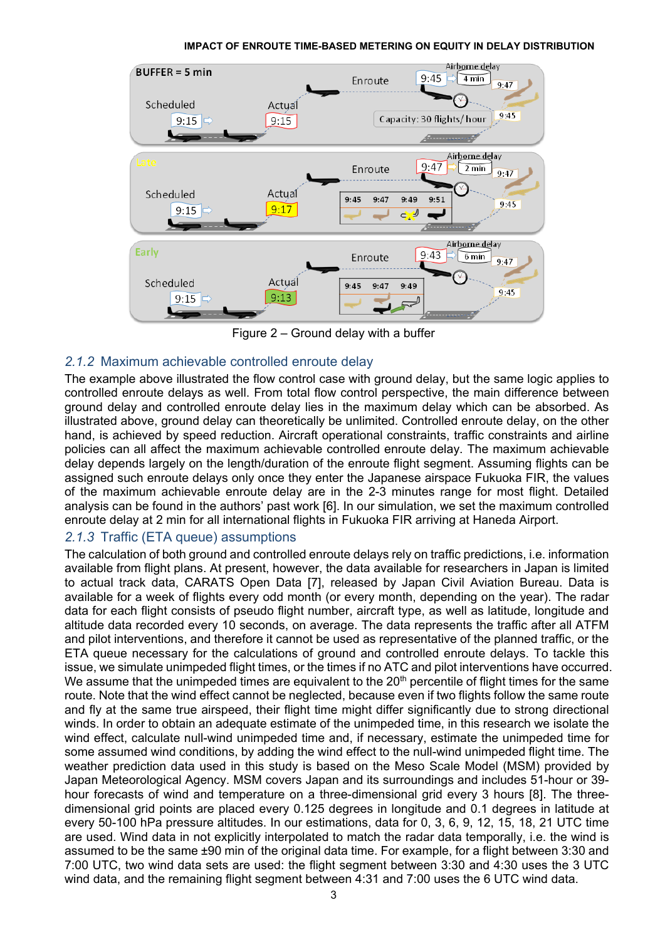

Figure 2 – Ground delay with a buffer

# <span id="page-2-0"></span>*2.1.2* Maximum achievable controlled enroute delay

The example above illustrated the flow control case with ground delay, but the same logic applies to controlled enroute delays as well. From total flow control perspective, the main difference between ground delay and controlled enroute delay lies in the maximum delay which can be absorbed. As illustrated above, ground delay can theoretically be unlimited. Controlled enroute delay, on the other hand, is achieved by speed reduction. Aircraft operational constraints, traffic constraints and airline policies can all affect the maximum achievable controlled enroute delay. The maximum achievable delay depends largely on the length/duration of the enroute flight segment. Assuming flights can be assigned such enroute delays only once they enter the Japanese airspace Fukuoka FIR, the values of the maximum achievable enroute delay are in the 2-3 minutes range for most flight. Detailed analysis can be found in the authors' past work [6]. In our simulation, we set the maximum controlled enroute delay at 2 min for all international flights in Fukuoka FIR arriving at Haneda Airport.

# *2.1.3* Traffic (ETA queue) assumptions

The calculation of both ground and controlled enroute delays rely on traffic predictions, i.e. information available from flight plans. At present, however, the data available for researchers in Japan is limited to actual track data, CARATS Open Data [7], released by Japan Civil Aviation Bureau. Data is available for a week of flights every odd month (or every month, depending on the year). The radar data for each flight consists of pseudo flight number, aircraft type, as well as latitude, longitude and altitude data recorded every 10 seconds, on average. The data represents the traffic after all ATFM and pilot interventions, and therefore it cannot be used as representative of the planned traffic, or the ETA queue necessary for the calculations of ground and controlled enroute delays. To tackle this issue, we simulate unimpeded flight times, or the times if no ATC and pilot interventions have occurred. We assume that the unimpeded times are equivalent to the  $20<sup>th</sup>$  percentile of flight times for the same route. Note that the wind effect cannot be neglected, because even if two flights follow the same route and fly at the same true airspeed, their flight time might differ significantly due to strong directional winds. In order to obtain an adequate estimate of the unimpeded time, in this research we isolate the wind effect, calculate null-wind unimpeded time and, if necessary, estimate the unimpeded time for some assumed wind conditions, by adding the wind effect to the null-wind unimpeded flight time. The weather prediction data used in this study is based on the Meso Scale Model (MSM) provided by Japan Meteorological Agency. MSM covers Japan and its surroundings and includes 51-hour or 39 hour forecasts of wind and temperature on a three-dimensional grid every 3 hours [8]. The threedimensional grid points are placed every 0.125 degrees in longitude and 0.1 degrees in latitude at every 50-100 hPa pressure altitudes. In our estimations, data for 0, 3, 6, 9, 12, 15, 18, 21 UTC time are used. Wind data in not explicitly interpolated to match the radar data temporally, i.e. the wind is assumed to be the same ±90 min of the original data time. For example, for a flight between 3:30 and 7:00 UTC, two wind data sets are used: the flight segment between 3:30 and 4:30 uses the 3 UTC wind data, and the remaining flight segment between 4:31 and 7:00 uses the 6 UTC wind data.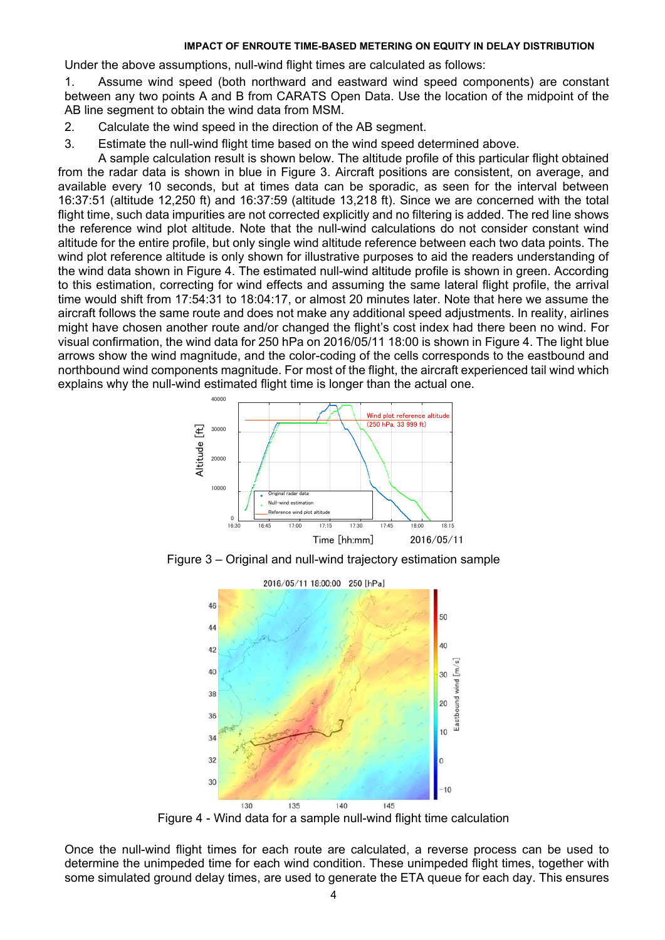Under the above assumptions, null-wind flight times are calculated as follows:

1. Assume wind speed (both northward and eastward wind speed components) are constant between any two points A and B from CARATS Open Data. Use the location of the midpoint of the AB line segment to obtain the wind data from MSM.

- 2. Calculate the wind speed in the direction of the AB segment.
- 3. Estimate the null-wind flight time based on the wind speed determined above.

A sample calculation result is shown below. The altitude profile of this particular flight obtained from the radar data is shown in blue in [Figure 3.](#page-3-0) Aircraft positions are consistent, on average, and available every 10 seconds, but at times data can be sporadic, as seen for the interval between 16:37:51 (altitude 12,250 ft) and 16:37:59 (altitude 13,218 ft). Since we are concerned with the total flight time, such data impurities are not corrected explicitly and no filtering is added. The red line shows the reference wind plot altitude. Note that the null-wind calculations do not consider constant wind altitude for the entire profile, but only single wind altitude reference between each two data points. The wind plot reference altitude is only shown for illustrative purposes to aid the readers understanding of the wind data shown in [Figure 4.](#page-3-1) The estimated null-wind altitude profile is shown in green. According to this estimation, correcting for wind effects and assuming the same lateral flight profile, the arrival time would shift from 17:54:31 to 18:04:17, or almost 20 minutes later. Note that here we assume the aircraft follows the same route and does not make any additional speed adjustments. In reality, airlines might have chosen another route and/or changed the flight's cost index had there been no wind. For visual confirmation, the wind data for 250 hPa on 2016/05/11 18:00 is shown in [Figure 4.](#page-3-1) The light blue arrows show the wind magnitude, and the color-coding of the cells corresponds to the eastbound and northbound wind components magnitude. For most of the flight, the aircraft experienced tail wind which explains why the null-wind estimated flight time is longer than the actual one.



<span id="page-3-0"></span>Figure 3 – Original and null-wind trajectory estimation sample



Figure 4 - Wind data for a sample null-wind flight time calculation

<span id="page-3-1"></span>Once the null-wind flight times for each route are calculated, a reverse process can be used to determine the unimpeded time for each wind condition. These unimpeded flight times, together with some simulated ground delay times, are used to generate the ETA queue for each day. This ensures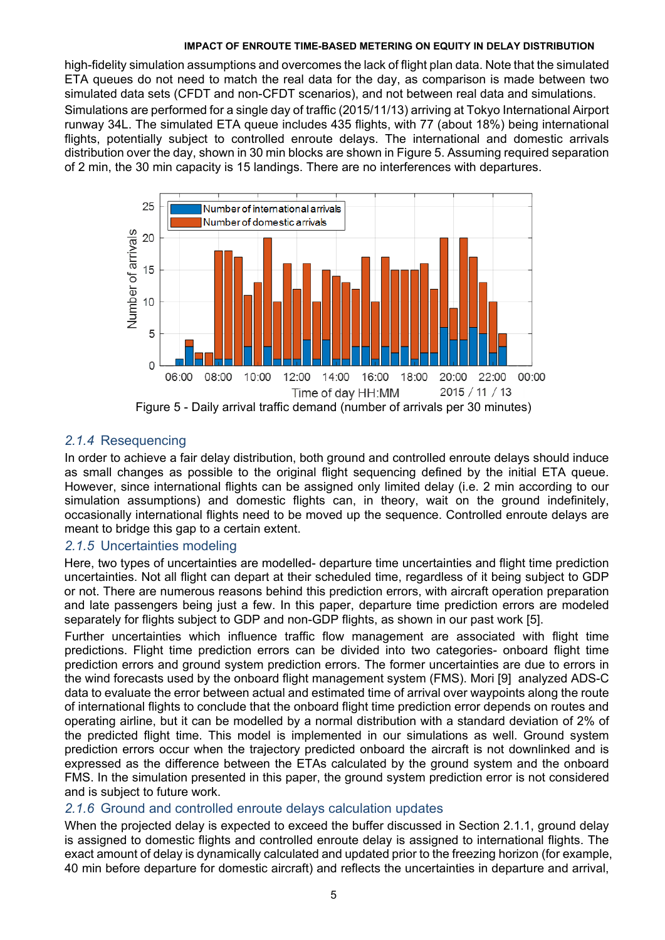high-fidelity simulation assumptions and overcomes the lack of flight plan data. Note that the simulated ETA queues do not need to match the real data for the day, as comparison is made between two simulated data sets (CFDT and non-CFDT scenarios), and not between real data and simulations. Simulations are performed for a single day of traffic (2015/11/13) arriving at Tokyo International Airport runway 34L. The simulated ETA queue includes 435 flights, with 77 (about 18%) being international flights, potentially subject to controlled enroute delays. The international and domestic arrivals distribution over the day, shown in 30 min blocks are shown in [Figure 5.](#page-4-0) Assuming required separation of 2 min, the 30 min capacity is 15 landings. There are no interferences with departures.



## <span id="page-4-0"></span>*2.1.4* Resequencing

In order to achieve a fair delay distribution, both ground and controlled enroute delays should induce as small changes as possible to the original flight sequencing defined by the initial ETA queue. However, since international flights can be assigned only limited delay (i.e. 2 min according to our simulation assumptions) and domestic flights can, in theory, wait on the ground indefinitely, occasionally international flights need to be moved up the sequence. Controlled enroute delays are meant to bridge this gap to a certain extent.

## *2.1.5* Uncertainties modeling

Here, two types of uncertainties are modelled- departure time uncertainties and flight time prediction uncertainties. Not all flight can depart at their scheduled time, regardless of it being subject to GDP or not. There are numerous reasons behind this prediction errors, with aircraft operation preparation and late passengers being just a few. In this paper, departure time prediction errors are modeled separately for flights subject to GDP and non-GDP flights, as shown in our past work [5].

Further uncertainties which influence traffic flow management are associated with flight time predictions. Flight time prediction errors can be divided into two categories- onboard flight time prediction errors and ground system prediction errors. The former uncertainties are due to errors in the wind forecasts used by the onboard flight management system (FMS). Mori [9] analyzed ADS-C data to evaluate the error between actual and estimated time of arrival over waypoints along the route of international flights to conclude that the onboard flight time prediction error depends on routes and operating airline, but it can be modelled by a normal distribution with a standard deviation of 2% of the predicted flight time. This model is implemented in our simulations as well. Ground system prediction errors occur when the trajectory predicted onboard the aircraft is not downlinked and is expressed as the difference between the ETAs calculated by the ground system and the onboard FMS. In the simulation presented in this paper, the ground system prediction error is not considered and is subject to future work.

## *2.1.6* Ground and controlled enroute delays calculation updates

When the projected delay is expected to exceed the buffer discussed in Section 2.1.1, ground delay is assigned to domestic flights and controlled enroute delay is assigned to international flights. The exact amount of delay is dynamically calculated and updated prior to the freezing horizon (for example, 40 min before departure for domestic aircraft) and reflects the uncertainties in departure and arrival,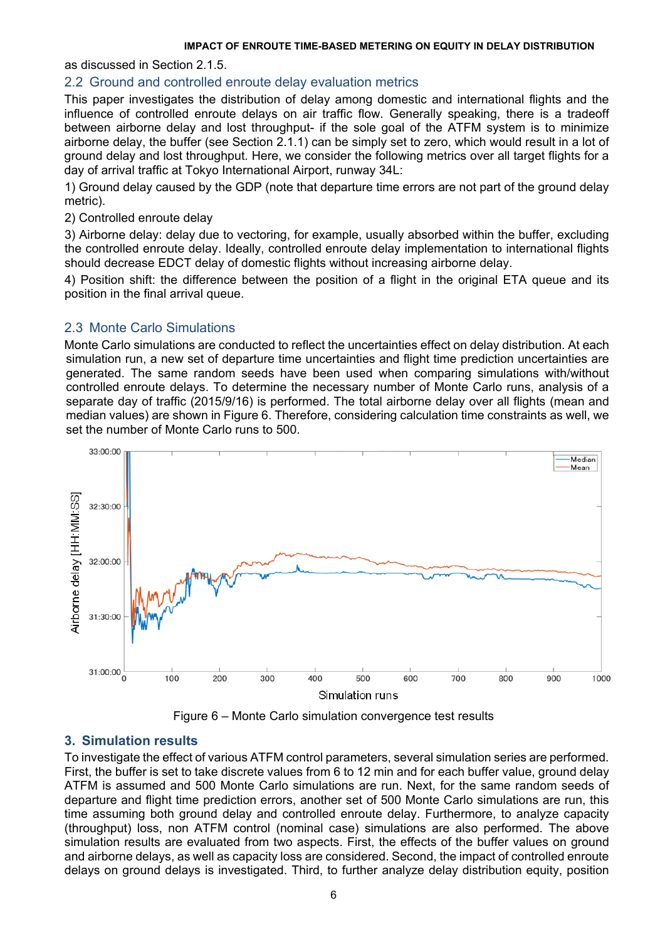as discussed in Section 2.1.5.

## 2.2 Ground and controlled enroute delay evaluation metrics

This paper investigates the distribution of delay among domestic and international flights and the influence of controlled enroute delays on air traffic flow. Generally speaking, there is a tradeoff between airborne delay and lost throughput- if the sole goal of the ATFM system is to minimize airborne delay, the buffer (see Section 2.1.1) can be simply set to zero, which would result in a lot of ground delay and lost throughput. Here, we consider the following metrics over all target flights for a day of arrival traffic at Tokyo International Airport, runway 34L:

1) Ground delay caused by the GDP (note that departure time errors are not part of the ground delay metric).

### 2) Controlled enroute delay

3) Airborne delay: delay due to vectoring, for example, usually absorbed within the buffer, excluding the controlled enroute delay. Ideally, controlled enroute delay implementation to international flights should decrease EDCT delay of domestic flights without increasing airborne delay.

4) Position shift: the difference between the position of a flight in the original ETA queue and its position in the final arrival queue.

# 2.3 Monte Carlo Simulations

Monte Carlo simulations are conducted to reflect the uncertainties effect on delay distribution. At each simulation run, a new set of departure time uncertainties and flight time prediction uncertainties are generated. The same random seeds have been used when comparing simulations with/without controlled enroute delays. To determine the necessary number of Monte Carlo runs, analysis of a separate day of traffic (2015/9/16) is performed. The total airborne delay over all flights (mean and median values) are shown in [Figure 6.](#page-5-0) Therefore, considering calculation time constraints as well, we set the number of Monte Carlo runs to 500.



Figure 6 – Monte Carlo simulation convergence test results

# <span id="page-5-0"></span>**3. Simulation results**

To investigate the effect of various ATFM control parameters, several simulation series are performed. First, the buffer is set to take discrete values from 6 to 12 min and for each buffer value, ground delay ATFM is assumed and 500 Monte Carlo simulations are run. Next, for the same random seeds of departure and flight time prediction errors, another set of 500 Monte Carlo simulations are run, this time assuming both ground delay and controlled enroute delay. Furthermore, to analyze capacity (throughput) loss, non ATFM control (nominal case) simulations are also performed. The above simulation results are evaluated from two aspects. First, the effects of the buffer values on ground and airborne delays, as well as capacity loss are considered. Second, the impact of controlled enroute delays on ground delays is investigated. Third, to further analyze delay distribution equity, position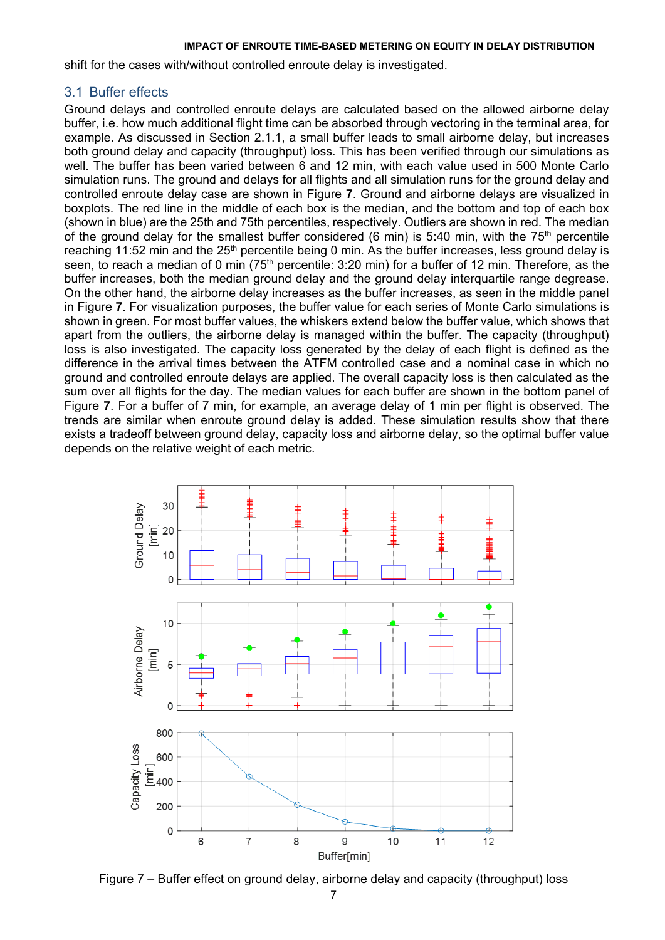shift for the cases with/without controlled enroute delay is investigated.

## 3.1 Buffer effects

Ground delays and controlled enroute delays are calculated based on the allowed airborne delay buffer, i.e. how much additional flight time can be absorbed through vectoring in the terminal area, for example. As discussed in Section 2.1.1, a small buffer leads to small airborne delay, but increases both ground delay and capacity (throughput) loss. This has been verified through our simulations as well. The buffer has been varied between 6 and 12 min, with each value used in 500 Monte Carlo simulation runs. The ground and delays for all flights and all simulation runs for the ground delay and controlled enroute delay case are shown in [Figure](#page-6-0) **7**. Ground and airborne delays are visualized in boxplots. The red line in the middle of each box is the median, and the bottom and top of each box (shown in blue) are the 25th and 75th percentiles, respectively. Outliers are shown in red. The median of the ground delay for the smallest buffer considered (6 min) is 5:40 min, with the  $75<sup>th</sup>$  percentile reaching 11:52 min and the 25<sup>th</sup> percentile being 0 min. As the buffer increases, less ground delay is seen, to reach a median of 0 min  $(75<sup>th</sup>$  percentile: 3:20 min) for a buffer of 12 min. Therefore, as the buffer increases, both the median ground delay and the ground delay interquartile range degrease. On the other hand, the airborne delay increases as the buffer increases, as seen in the middle panel in [Figure](#page-6-0) **7**. For visualization purposes, the buffer value for each series of Monte Carlo simulations is shown in green. For most buffer values, the whiskers extend below the buffer value, which shows that apart from the outliers, the airborne delay is managed within the buffer. The capacity (throughput) loss is also investigated. The capacity loss generated by the delay of each flight is defined as the difference in the arrival times between the ATFM controlled case and a nominal case in which no ground and controlled enroute delays are applied. The overall capacity loss is then calculated as the sum over all flights for the day. The median values for each buffer are shown in the bottom panel of [Figure](#page-6-0) **7**. For a buffer of 7 min, for example, an average delay of 1 min per flight is observed. The trends are similar when enroute ground delay is added. These simulation results show that there exists a tradeoff between ground delay, capacity loss and airborne delay, so the optimal buffer value depends on the relative weight of each metric.



<span id="page-6-0"></span>Figure 7 – Buffer effect on ground delay, airborne delay and capacity (throughput) loss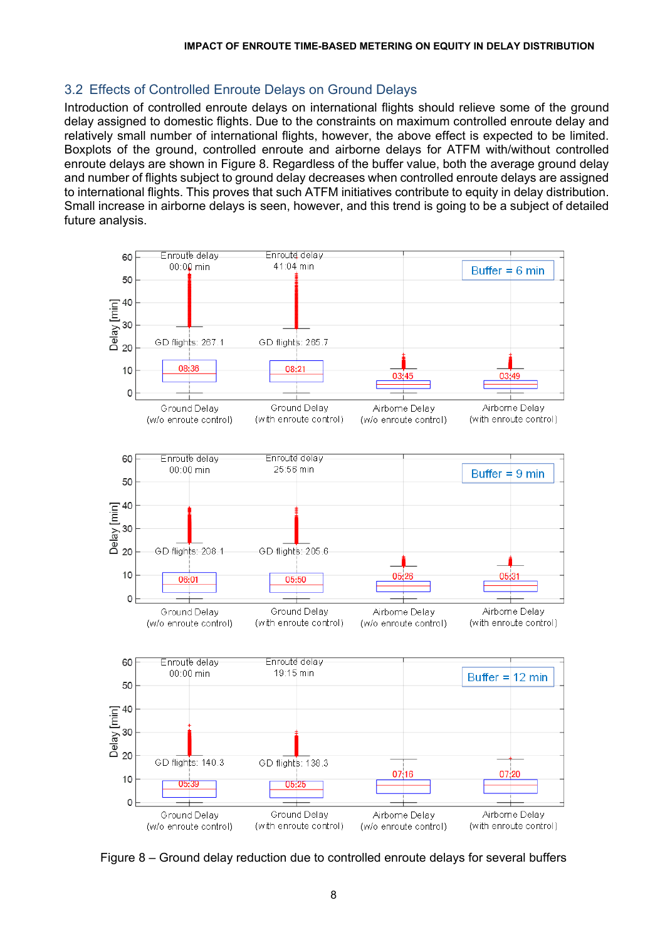## 3.2 Effects of Controlled Enroute Delays on Ground Delays

Introduction of controlled enroute delays on international flights should relieve some of the ground delay assigned to domestic flights. Due to the constraints on maximum controlled enroute delay and relatively small number of international flights, however, the above effect is expected to be limited. Boxplots of the ground, controlled enroute and airborne delays for ATFM with/without controlled enroute delays are shown in [Figure 8.](#page-7-0) Regardless of the buffer value, both the average ground delay and number of flights subject to ground delay decreases when controlled enroute delays are assigned to international flights. This proves that such ATFM initiatives contribute to equity in delay distribution. Small increase in airborne delays is seen, however, and this trend is going to be a subject of detailed future analysis.



<span id="page-7-0"></span>Figure 8 – Ground delay reduction due to controlled enroute delays for several buffers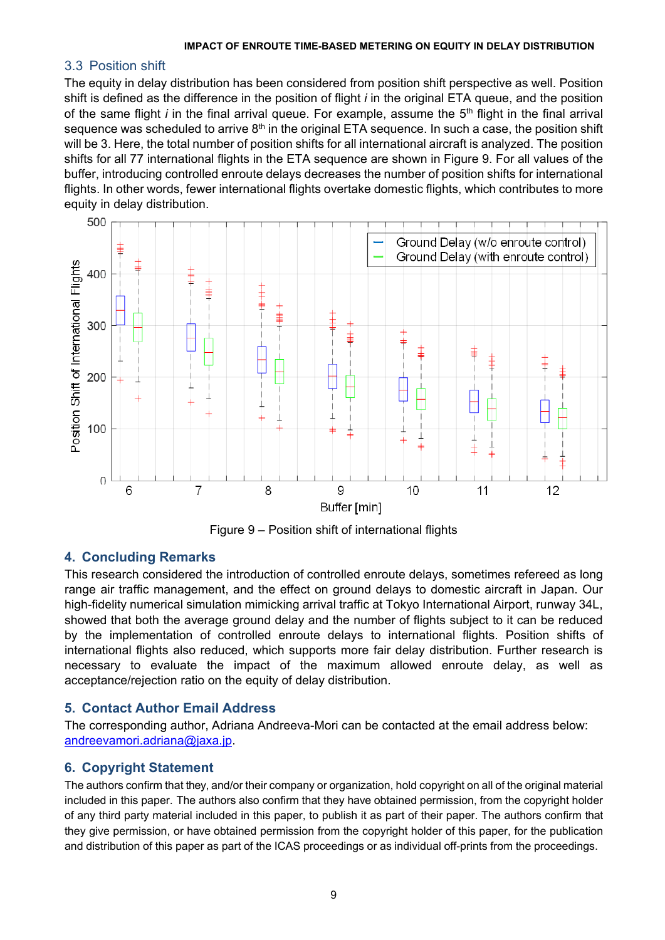## 3.3 Position shift

The equity in delay distribution has been considered from position shift perspective as well. Position shift is defined as the difference in the position of flight *i* in the original ETA queue, and the position of the same flight *i* in the final arrival queue. For example, assume the 5<sup>th</sup> flight in the final arrival sequence was scheduled to arrive  $8<sup>th</sup>$  in the original ETA sequence. In such a case, the position shift will be 3. Here, the total number of position shifts for all international aircraft is analyzed. The position shifts for all 77 international flights in the ETA sequence are shown in [Figure 9.](#page-8-0) For all values of the buffer, introducing controlled enroute delays decreases the number of position shifts for international flights. In other words, fewer international flights overtake domestic flights, which contributes to more equity in delay distribution.



Figure 9 – Position shift of international flights

# <span id="page-8-0"></span>**4. Concluding Remarks**

This research considered the introduction of controlled enroute delays, sometimes refereed as long range air traffic management, and the effect on ground delays to domestic aircraft in Japan. Our high-fidelity numerical simulation mimicking arrival traffic at Tokyo International Airport, runway 34L, showed that both the average ground delay and the number of flights subject to it can be reduced by the implementation of controlled enroute delays to international flights. Position shifts of international flights also reduced, which supports more fair delay distribution. Further research is necessary to evaluate the impact of the maximum allowed enroute delay, as well as acceptance/rejection ratio on the equity of delay distribution.

# **5. Contact Author Email Address**

The corresponding author, Adriana Andreeva-Mori can be contacted at the email address below: [andreevamori.adriana@jaxa.jp.](mailto:andreevamori.adriana@jaxa.jp)

# **6. Copyright Statement**

The authors confirm that they, and/or their company or organization, hold copyright on all of the original material included in this paper. The authors also confirm that they have obtained permission, from the copyright holder of any third party material included in this paper, to publish it as part of their paper. The authors confirm that they give permission, or have obtained permission from the copyright holder of this paper, for the publication and distribution of this paper as part of the ICAS proceedings or as individual off-prints from the proceedings.